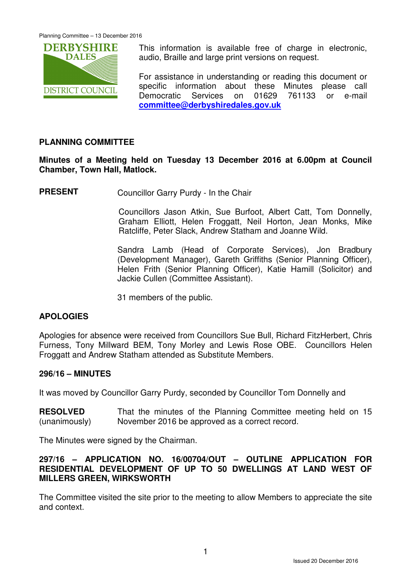

This information is available free of charge in electronic, audio, Braille and large print versions on request.

For assistance in understanding or reading this document or specific information about these Minutes please call Democratic Services on 01629 761133 or e-mail **committee@derbyshiredales.gov.uk**

# **PLANNING COMMITTEE**

**Minutes of a Meeting held on Tuesday 13 December 2016 at 6.00pm at Council Chamber, Town Hall, Matlock.** 

**PRESENT** Councillor Garry Purdy - In the Chair

 Councillors Jason Atkin, Sue Burfoot, Albert Catt, Tom Donnelly, Graham Elliott, Helen Froggatt, Neil Horton, Jean Monks, Mike Ratcliffe, Peter Slack, Andrew Statham and Joanne Wild.

Sandra Lamb (Head of Corporate Services), Jon Bradbury (Development Manager), Gareth Griffiths (Senior Planning Officer), Helen Frith (Senior Planning Officer), Katie Hamill (Solicitor) and Jackie Cullen (Committee Assistant).

31 members of the public.

# **APOLOGIES**

Apologies for absence were received from Councillors Sue Bull, Richard FitzHerbert, Chris Furness, Tony Millward BEM, Tony Morley and Lewis Rose OBE. Councillors Helen Froggatt and Andrew Statham attended as Substitute Members.

# **296/16 – MINUTES**

It was moved by Councillor Garry Purdy, seconded by Councillor Tom Donnelly and

**RESOLVED** (unanimously) That the minutes of the Planning Committee meeting held on 15 November 2016 be approved as a correct record.

The Minutes were signed by the Chairman.

# **297/16 – APPLICATION NO. 16/00704/OUT – OUTLINE APPLICATION FOR RESIDENTIAL DEVELOPMENT OF UP TO 50 DWELLINGS AT LAND WEST OF MILLERS GREEN, WIRKSWORTH**

The Committee visited the site prior to the meeting to allow Members to appreciate the site and context.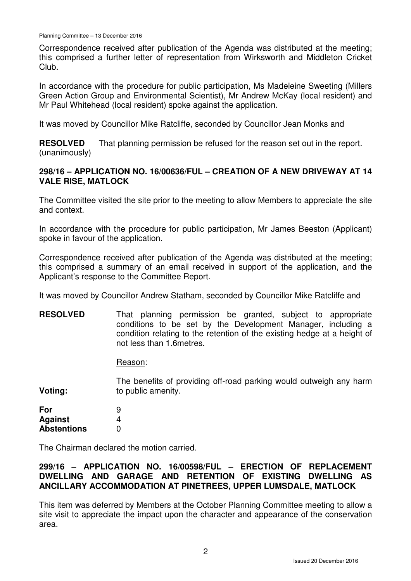Correspondence received after publication of the Agenda was distributed at the meeting; this comprised a further letter of representation from Wirksworth and Middleton Cricket Club.

In accordance with the procedure for public participation, Ms Madeleine Sweeting (Millers Green Action Group and Environmental Scientist), Mr Andrew McKay (local resident) and Mr Paul Whitehead (local resident) spoke against the application.

It was moved by Councillor Mike Ratcliffe, seconded by Councillor Jean Monks and

**RESOLVED** (unanimously) That planning permission be refused for the reason set out in the report.

# **298/16 – APPLICATION NO. 16/00636/FUL – CREATION OF A NEW DRIVEWAY AT 14 VALE RISE, MATLOCK**

The Committee visited the site prior to the meeting to allow Members to appreciate the site and context.

In accordance with the procedure for public participation, Mr James Beeston (Applicant) spoke in favour of the application.

Correspondence received after publication of the Agenda was distributed at the meeting; this comprised a summary of an email received in support of the application, and the Applicant's response to the Committee Report.

It was moved by Councillor Andrew Statham, seconded by Councillor Mike Ratcliffe and

**RESOLVED** That planning permission be granted, subject to appropriate conditions to be set by the Development Manager, including a condition relating to the retention of the existing hedge at a height of not less than 1.6metres.

Reason:

**Voting:**  The benefits of providing off-road parking would outweigh any harm to public amenity.

**For Against Abstentions** 9 4  $\Omega$ 

The Chairman declared the motion carried.

# **299/16 – APPLICATION NO. 16/00598/FUL – ERECTION OF REPLACEMENT DWELLING AND GARAGE AND RETENTION OF EXISTING DWELLING AS ANCILLARY ACCOMMODATION AT PINETREES, UPPER LUMSDALE, MATLOCK**

This item was deferred by Members at the October Planning Committee meeting to allow a site visit to appreciate the impact upon the character and appearance of the conservation area.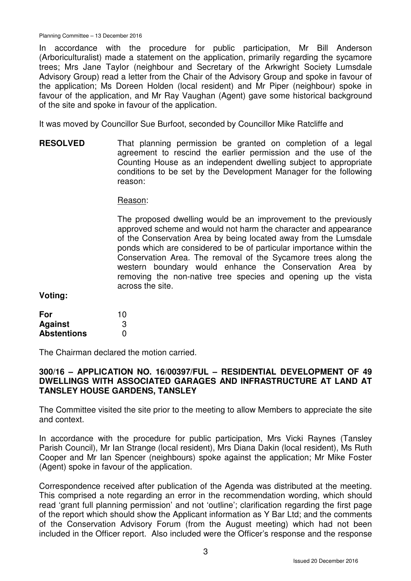In accordance with the procedure for public participation, Mr Bill Anderson (Arboriculturalist) made a statement on the application, primarily regarding the sycamore trees; Mrs Jane Taylor (neighbour and Secretary of the Arkwright Society Lumsdale Advisory Group) read a letter from the Chair of the Advisory Group and spoke in favour of the application; Ms Doreen Holden (local resident) and Mr Piper (neighbour) spoke in favour of the application, and Mr Ray Vaughan (Agent) gave some historical background of the site and spoke in favour of the application.

It was moved by Councillor Sue Burfoot, seconded by Councillor Mike Ratcliffe and

**RESOLVED** That planning permission be granted on completion of a legal agreement to rescind the earlier permission and the use of the Counting House as an independent dwelling subject to appropriate conditions to be set by the Development Manager for the following reason:

#### Reason:

The proposed dwelling would be an improvement to the previously approved scheme and would not harm the character and appearance of the Conservation Area by being located away from the Lumsdale ponds which are considered to be of particular importance within the Conservation Area. The removal of the Sycamore trees along the western boundary would enhance the Conservation Area by removing the non-native tree species and opening up the vista across the site.

**Voting:** 

| For                | 10 |
|--------------------|----|
| <b>Against</b>     | 3  |
| <b>Abstentions</b> | O  |

The Chairman declared the motion carried.

### **300/16 – APPLICATION NO. 16/00397/FUL – RESIDENTIAL DEVELOPMENT OF 49 DWELLINGS WITH ASSOCIATED GARAGES AND INFRASTRUCTURE AT LAND AT TANSLEY HOUSE GARDENS, TANSLEY**

The Committee visited the site prior to the meeting to allow Members to appreciate the site and context.

In accordance with the procedure for public participation, Mrs Vicki Raynes (Tansley Parish Council), Mr Ian Strange (local resident), Mrs Diana Dakin (local resident), Ms Ruth Cooper and Mr Ian Spencer (neighbours) spoke against the application; Mr Mike Foster (Agent) spoke in favour of the application.

Correspondence received after publication of the Agenda was distributed at the meeting. This comprised a note regarding an error in the recommendation wording, which should read 'grant full planning permission' and not 'outline'; clarification regarding the first page of the report which should show the Applicant information as Y Bar Ltd; and the comments of the Conservation Advisory Forum (from the August meeting) which had not been included in the Officer report. Also included were the Officer's response and the response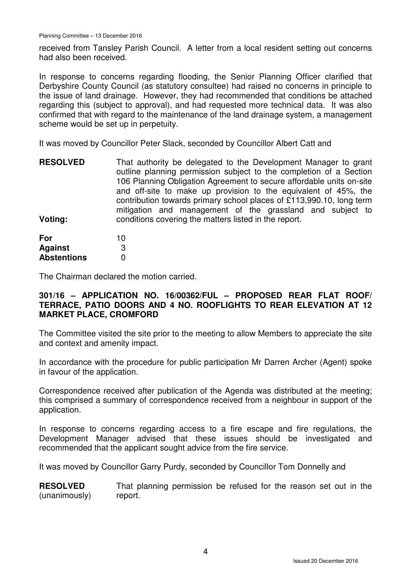received from Tansley Parish Council. A letter from a local resident setting out concerns had also been received.

In response to concerns regarding flooding, the Senior Planning Officer clarified that Derbyshire County Council (as statutory consultee) had raised no concerns in principle to the issue of land drainage. However, they had recommended that conditions be attached regarding this (subject to approval), and had requested more technical data. It was also confirmed that with regard to the maintenance of the land drainage system, a management scheme would be set up in perpetuity.

It was moved by Councillor Peter Slack, seconded by Councillor Albert Catt and

| <b>RESOLVED</b> | That authority be delegated to the Development Manager to grant<br>outline planning permission subject to the completion of a Section<br>106 Planning Obligation Agreement to secure affordable units on-site<br>and off-site to make up provision to the equivalent of 45%, the<br>contribution towards primary school places of £113,990.10, long term<br>mitigation and management of the grassland and subject to |
|-----------------|-----------------------------------------------------------------------------------------------------------------------------------------------------------------------------------------------------------------------------------------------------------------------------------------------------------------------------------------------------------------------------------------------------------------------|
| Voting:         | conditions covering the matters listed in the report.                                                                                                                                                                                                                                                                                                                                                                 |

| For                | 10 |
|--------------------|----|
| Against            | 3  |
| <b>Abstentions</b> | O  |

The Chairman declared the motion carried.

### **301/16 – APPLICATION NO. 16/00362/FUL – PROPOSED REAR FLAT ROOF/ TERRACE, PATIO DOORS AND 4 NO. ROOFLIGHTS TO REAR ELEVATION AT 12 MARKET PLACE, CROMFORD**

The Committee visited the site prior to the meeting to allow Members to appreciate the site and context and amenity impact.

In accordance with the procedure for public participation Mr Darren Archer (Agent) spoke in favour of the application.

Correspondence received after publication of the Agenda was distributed at the meeting; this comprised a summary of correspondence received from a neighbour in support of the application.

In response to concerns regarding access to a fire escape and fire regulations, the Development Manager advised that these issues should be investigated and recommended that the applicant sought advice from the fire service.

It was moved by Councillor Garry Purdy, seconded by Councillor Tom Donnelly and

**RESOLVED** (unanimously) That planning permission be refused for the reason set out in the report.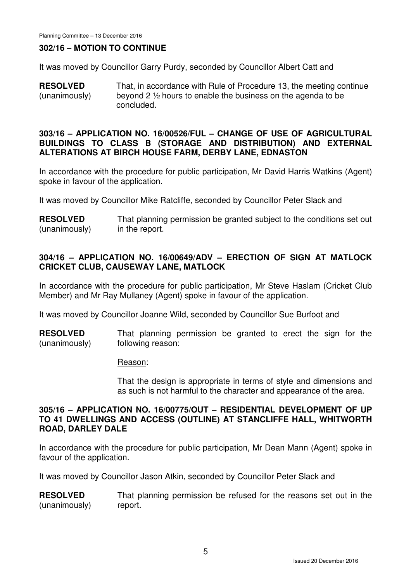# **302/16 – MOTION TO CONTINUE**

It was moved by Councillor Garry Purdy, seconded by Councillor Albert Catt and

**RESOLVED** (unanimously) That, in accordance with Rule of Procedure 13, the meeting continue beyond 2 ½ hours to enable the business on the agenda to be concluded.

### **303/16 – APPLICATION NO. 16/00526/FUL – CHANGE OF USE OF AGRICULTURAL BUILDINGS TO CLASS B (STORAGE AND DISTRIBUTION) AND EXTERNAL ALTERATIONS AT BIRCH HOUSE FARM, DERBY LANE, EDNASTON**

In accordance with the procedure for public participation, Mr David Harris Watkins (Agent) spoke in favour of the application.

It was moved by Councillor Mike Ratcliffe, seconded by Councillor Peter Slack and

**RESOLVED** (unanimously) That planning permission be granted subject to the conditions set out in the report.

# **304/16 – APPLICATION NO. 16/00649/ADV – ERECTION OF SIGN AT MATLOCK CRICKET CLUB, CAUSEWAY LANE, MATLOCK**

In accordance with the procedure for public participation, Mr Steve Haslam (Cricket Club Member) and Mr Ray Mullaney (Agent) spoke in favour of the application.

It was moved by Councillor Joanne Wild, seconded by Councillor Sue Burfoot and

**RESOLVED** (unanimously) That planning permission be granted to erect the sign for the following reason:

#### Reason:

That the design is appropriate in terms of style and dimensions and as such is not harmful to the character and appearance of the area.

# **305/16 – APPLICATION NO. 16/00775/OUT – RESIDENTIAL DEVELOPMENT OF UP TO 41 DWELLINGS AND ACCESS (OUTLINE) AT STANCLIFFE HALL, WHITWORTH ROAD, DARLEY DALE**

In accordance with the procedure for public participation, Mr Dean Mann (Agent) spoke in favour of the application.

It was moved by Councillor Jason Atkin, seconded by Councillor Peter Slack and

**RESOLVED** (unanimously) That planning permission be refused for the reasons set out in the report.